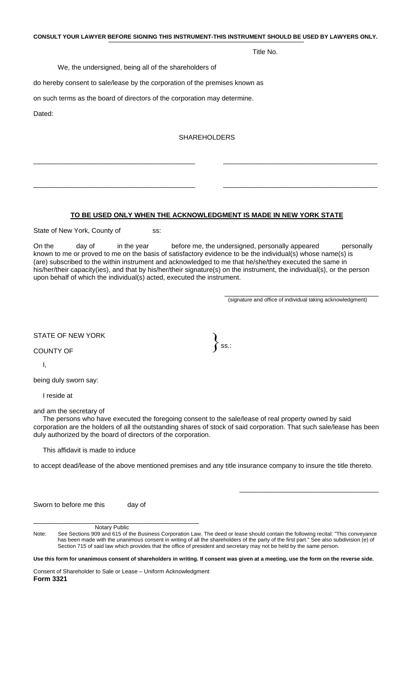**CONSULT YOUR LAWYER BEFORE SIGNING THIS INSTRUMENT-THIS INSTRUMENT SHOULD BE USED BY LAWYERS ONLY.** 

Title No.

We, the undersigned, being all of the shareholders of

do hereby consent to sale/lease by the corporation of the premises known as

on such terms as the board of directors of the corporation may determine.

Dated:

## SHAREHOLDERS

\_\_\_\_\_\_\_\_\_\_\_\_\_\_\_\_\_\_\_\_\_\_\_\_\_\_\_\_\_\_\_\_\_\_\_\_\_\_\_\_\_\_\_ \_\_\_\_\_\_\_\_\_\_\_\_\_\_\_\_\_\_\_\_\_\_\_\_\_\_\_\_\_\_\_\_\_\_\_\_\_\_\_\_\_

\_\_\_\_\_\_\_\_\_\_\_\_\_\_\_\_\_\_\_\_\_\_\_\_\_\_\_\_\_\_\_\_\_\_\_\_\_\_\_\_\_\_\_ \_\_\_\_\_\_\_\_\_\_\_\_\_\_\_\_\_\_\_\_\_\_\_\_\_\_\_\_\_\_\_\_\_\_\_\_\_\_\_\_\_

## **TO BE USED ONLY WHEN THE ACKNOWLEDGMENT IS MADE IN NEW YORK STATE**

State of New York, County of ss:

On the day of in the year before me, the undersigned, personally appeared personally known to me or proved to me on the basis of satisfactory evidence to be the individual(s) whose name(s) is (are) subscribed to the within instrument and acknowledged to me that he/she/they executed the same in his/her/their capacity(ies), and that by his/her/their signature(s) on the instrument, the individual(s), or the person upon behalf of which the individual(s) acted, executed the instrument.

\_\_\_\_\_\_\_\_\_\_\_\_\_\_\_\_\_\_\_\_\_\_\_\_\_\_\_\_\_\_\_\_\_\_\_\_\_\_\_\_\_ (signature and office of individual taking acknowledgment)

 $\frac{1}{\sqrt{2}}$  ,  $\frac{1}{\sqrt{2}}$  ,  $\frac{1}{\sqrt{2}}$  ,  $\frac{1}{\sqrt{2}}$  ,  $\frac{1}{\sqrt{2}}$  ,  $\frac{1}{\sqrt{2}}$  ,  $\frac{1}{\sqrt{2}}$  ,  $\frac{1}{\sqrt{2}}$  ,  $\frac{1}{\sqrt{2}}$  ,  $\frac{1}{\sqrt{2}}$  ,  $\frac{1}{\sqrt{2}}$  ,  $\frac{1}{\sqrt{2}}$  ,  $\frac{1}{\sqrt{2}}$  ,  $\frac{1}{\sqrt{2}}$  ,  $\frac{1}{\sqrt{2}}$ 

STATE OF NEW YORK  $\Big\}$  ss.:

 $\overline{1}$ .

being duly sworn say:

I reside at

and am the secretary of

 The persons who have executed the foregoing consent to the sale/lease of real property owned by said corporation are the holders of all the outstanding shares of stock of said corporation. That such sale/lease has been duly authorized by the board of directors of the corporation.

This affidavit is made to induce

to accept dead/lease of the above mentioned premises and any title insurance company to insure the title thereto.

Sworn to before me this day of

\_\_\_\_\_\_\_\_\_\_\_\_\_\_\_\_\_\_\_\_\_\_\_\_\_\_\_\_\_\_\_\_\_\_\_\_\_\_\_\_\_\_\_\_ Notary Public

Note: See Sections 909 and 615 of the Business Corporation Law. The deed or lease should contain the following recital: "This conveyance has been made with the unanimous consent in writing of all the shareholders of the party of the first part." See also subdivision (e) of Section 715 of said law which provides that the office of president and secretary may not be held by the same person.

**Use this form for unanimous consent of shareholders in writing. If consent was given at a meeting, use the form on the reverse side.** 

Consent of Shareholder to Sale or Lease – Uniform Acknowledgment **Form 3321**